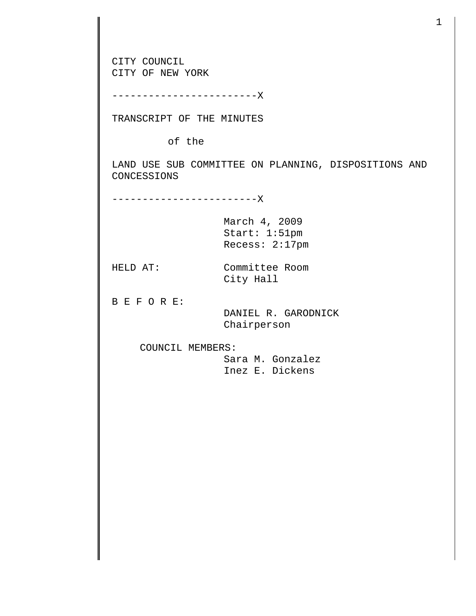CITY COUNCIL CITY OF NEW YORK

------------------------X

TRANSCRIPT OF THE MINUTES

of the

LAND USE SUB COMMITTEE ON PLANNING, DISPOSITIONS AND CONCESSIONS

------------------------X

March 4, 2009 Start: 1:51pm Recess: 2:17pm

HELD AT: Committee Room City Hall

B E F O R E:

 DANIEL R. GARODNICK Chairperson

COUNCIL MEMBERS:

 Sara M. Gonzalez Inez E. Dickens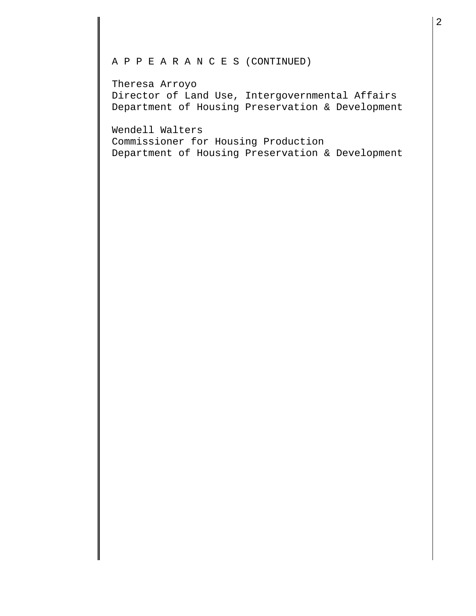## A P P E A R A N C E S (CONTINUED)

Theresa Arroyo Director of Land Use, Intergovernmental Affairs Department of Housing Preservation & Development

Wendell Walters Commissioner for Housing Production Department of Housing Preservation & Development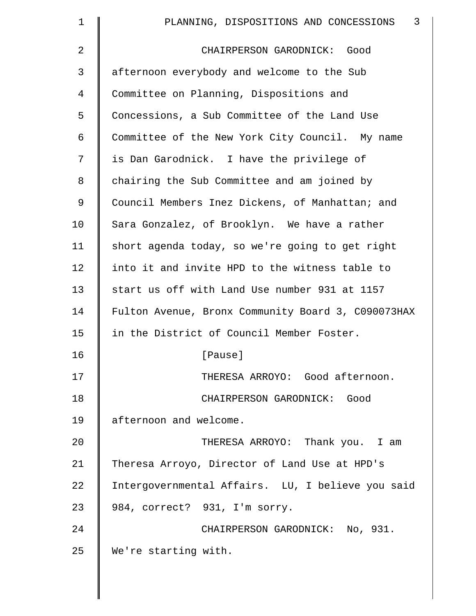| $\mathbf 1$ | 3<br>PLANNING, DISPOSITIONS AND CONCESSIONS        |
|-------------|----------------------------------------------------|
| 2           | CHAIRPERSON GARODNICK: Good                        |
| 3           | afternoon everybody and welcome to the Sub         |
| 4           | Committee on Planning, Dispositions and            |
| 5           | Concessions, a Sub Committee of the Land Use       |
| 6           | Committee of the New York City Council. My name    |
| 7           | is Dan Garodnick. I have the privilege of          |
| 8           | chairing the Sub Committee and am joined by        |
| 9           | Council Members Inez Dickens, of Manhattan; and    |
| 10          | Sara Gonzalez, of Brooklyn. We have a rather       |
| 11          | short agenda today, so we're going to get right    |
| 12          | into it and invite HPD to the witness table to     |
| 13          | start us off with Land Use number 931 at 1157      |
| 14          | Fulton Avenue, Bronx Community Board 3, C090073HAX |
| 15          | in the District of Council Member Foster.          |
| 16          | [Pause]                                            |
| 17          | THERESA ARROYO: Good afternoon.                    |
| 18          | CHAIRPERSON GARODNICK: Good                        |
| 19          | afternoon and welcome.                             |
| 20          | THERESA ARROYO: Thank you. I am                    |
| 21          | Theresa Arroyo, Director of Land Use at HPD's      |
| 22          | Intergovernmental Affairs. LU, I believe you said  |
| 23          | 984, correct? 931, I'm sorry.                      |
| 24          | CHAIRPERSON GARODNICK: No, 931.                    |
| 25          | We're starting with.                               |
|             |                                                    |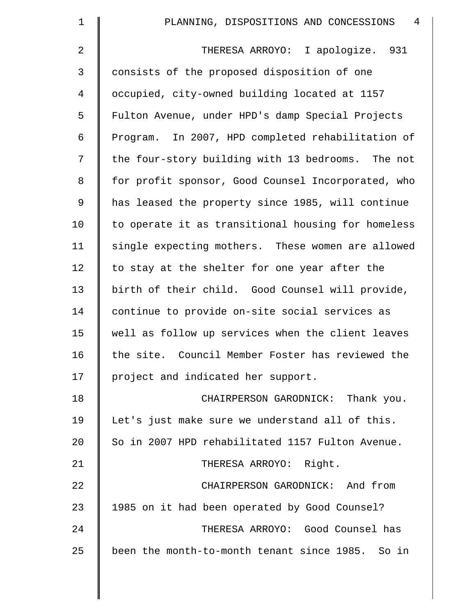| $\mathbf 1$    | 4<br>PLANNING, DISPOSITIONS AND CONCESSIONS        |
|----------------|----------------------------------------------------|
| $\overline{2}$ | I apologize. 931<br>THERESA ARROYO:                |
| $\mathsf{3}$   | consists of the proposed disposition of one        |
| 4              | occupied, city-owned building located at 1157      |
| 5              | Fulton Avenue, under HPD's damp Special Projects   |
| 6              | Program. In 2007, HPD completed rehabilitation of  |
| 7              | the four-story building with 13 bedrooms. The not  |
| 8              | for profit sponsor, Good Counsel Incorporated, who |
| $\mathsf 9$    | has leased the property since 1985, will continue  |
| 10             | to operate it as transitional housing for homeless |
| 11             | single expecting mothers. These women are allowed  |
| 12             | to stay at the shelter for one year after the      |
| 13             | birth of their child. Good Counsel will provide,   |
| 14             | continue to provide on-site social services as     |
| 15             | well as follow up services when the client leaves  |
| 16             | the site. Council Member Foster has reviewed the   |
| 17             | project and indicated her support.                 |
| 18             | CHAIRPERSON GARODNICK: Thank you.                  |
| 19             | Let's just make sure we understand all of this.    |
| 20             | So in 2007 HPD rehabilitated 1157 Fulton Avenue.   |
| 21             | THERESA ARROYO: Right.                             |
| 22             | CHAIRPERSON GARODNICK: And from                    |
| 23             | 1985 on it had been operated by Good Counsel?      |
| 24             | THERESA ARROYO: Good Counsel has                   |
| 25             | been the month-to-month tenant since 1985. So in   |
|                |                                                    |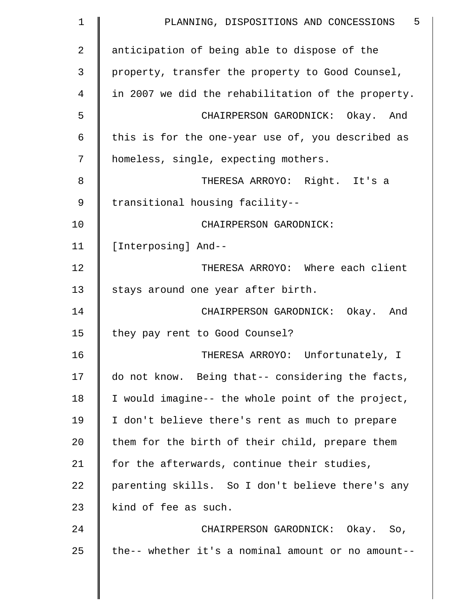| 1  | $-5$<br>PLANNING, DISPOSITIONS AND CONCESSIONS     |
|----|----------------------------------------------------|
| 2  | anticipation of being able to dispose of the       |
| 3  | property, transfer the property to Good Counsel,   |
| 4  | in 2007 we did the rehabilitation of the property. |
| 5  | CHAIRPERSON GARODNICK: Okay. And                   |
| 6  | this is for the one-year use of, you described as  |
| 7  | homeless, single, expecting mothers.               |
| 8  | THERESA ARROYO: Right. It's a                      |
| 9  | transitional housing facility--                    |
| 10 | CHAIRPERSON GARODNICK:                             |
| 11 | [Interposing] And--                                |
| 12 | THERESA ARROYO: Where each client                  |
| 13 | stays around one year after birth.                 |
| 14 | CHAIRPERSON GARODNICK: Okay. And                   |
| 15 | they pay rent to Good Counsel?                     |
| 16 | THERESA ARROYO: Unfortunately, I                   |
| 17 | do not know. Being that-- considering the facts,   |
| 18 | I would imagine-- the whole point of the project,  |
| 19 | I don't believe there's rent as much to prepare    |
| 20 | them for the birth of their child, prepare them    |
| 21 | for the afterwards, continue their studies,        |
| 22 | parenting skills. So I don't believe there's any   |
| 23 | kind of fee as such.                               |
| 24 | CHAIRPERSON GARODNICK: Okay. So,                   |
| 25 | the-- whether it's a nominal amount or no amount-- |
|    |                                                    |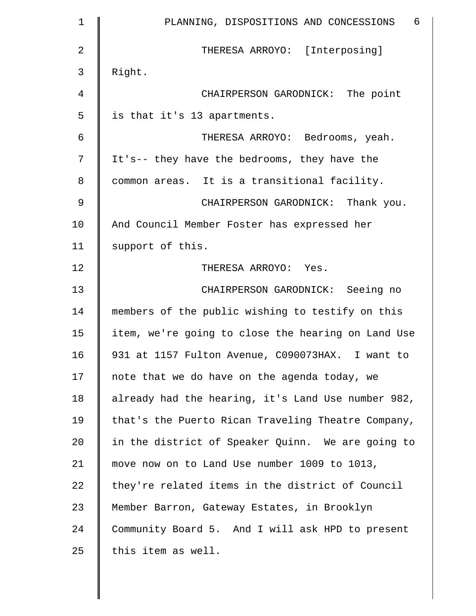| $\mathbf 1$ | $6\overline{6}$<br>PLANNING, DISPOSITIONS AND CONCESSIONS |
|-------------|-----------------------------------------------------------|
| 2           | THERESA ARROYO: [Interposing]                             |
| 3           | Right.                                                    |
| 4           | CHAIRPERSON GARODNICK: The point                          |
| 5           | is that it's 13 apartments.                               |
| 6           | THERESA ARROYO: Bedrooms, yeah.                           |
| 7           | It's-- they have the bedrooms, they have the              |
| 8           | common areas. It is a transitional facility.              |
| 9           | CHAIRPERSON GARODNICK: Thank you.                         |
| 10          | And Council Member Foster has expressed her               |
| 11          | support of this.                                          |
| 12          | THERESA ARROYO: Yes.                                      |
| 13          | CHAIRPERSON GARODNICK: Seeing no                          |
| 14          | members of the public wishing to testify on this          |
| 15          | item, we're going to close the hearing on Land Use        |
| 16          | 931 at 1157 Fulton Avenue, C090073HAX. I want to          |
| 17          | note that we do have on the agenda today, we              |
| 18          | already had the hearing, it's Land Use number 982,        |
| 19          | that's the Puerto Rican Traveling Theatre Company,        |
| 20          | in the district of Speaker Quinn. We are going to         |
| 21          | move now on to Land Use number 1009 to 1013,              |
| 22          | they're related items in the district of Council          |
| 23          | Member Barron, Gateway Estates, in Brooklyn               |
| 24          | Community Board 5. And I will ask HPD to present          |
| 25          | this item as well.                                        |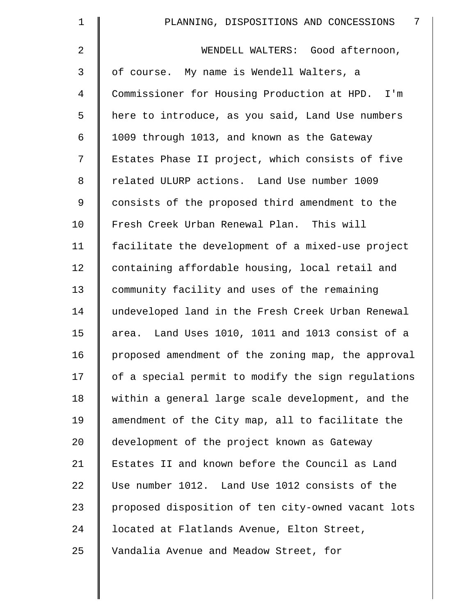| 1  | 7<br>PLANNING, DISPOSITIONS AND CONCESSIONS        |
|----|----------------------------------------------------|
| 2  | WENDELL WALTERS: Good afternoon,                   |
| 3  | of course. My name is Wendell Walters, a           |
| 4  | Commissioner for Housing Production at HPD. I'm    |
| 5  | here to introduce, as you said, Land Use numbers   |
| 6  | 1009 through 1013, and known as the Gateway        |
| 7  | Estates Phase II project, which consists of five   |
| 8  | related ULURP actions. Land Use number 1009        |
| 9  | consists of the proposed third amendment to the    |
| 10 | Fresh Creek Urban Renewal Plan. This will          |
| 11 | facilitate the development of a mixed-use project  |
| 12 | containing affordable housing, local retail and    |
| 13 | community facility and uses of the remaining       |
| 14 | undeveloped land in the Fresh Creek Urban Renewal  |
| 15 | area. Land Uses 1010, 1011 and 1013 consist of a   |
| 16 | proposed amendment of the zoning map, the approval |
| 17 | of a special permit to modify the sign regulations |
| 18 | within a general large scale development, and the  |
| 19 | amendment of the City map, all to facilitate the   |
| 20 | development of the project known as Gateway        |
| 21 | Estates II and known before the Council as Land    |
| 22 | Use number 1012. Land Use 1012 consists of the     |
| 23 | proposed disposition of ten city-owned vacant lots |
| 24 | located at Flatlands Avenue, Elton Street,         |
| 25 | Vandalia Avenue and Meadow Street, for             |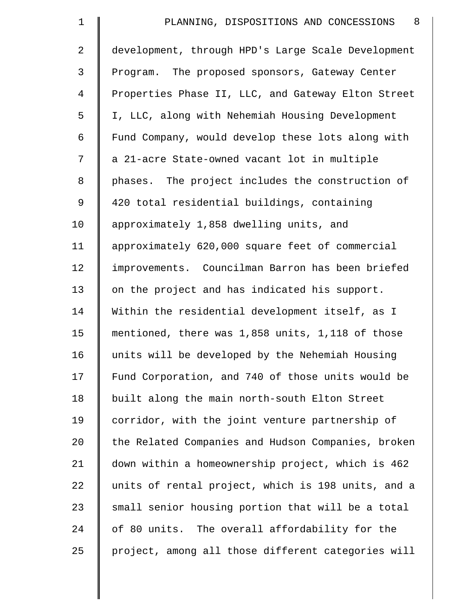| $\mathbf 1$    | 8<br>PLANNING, DISPOSITIONS AND CONCESSIONS        |
|----------------|----------------------------------------------------|
| $\overline{2}$ | development, through HPD's Large Scale Development |
| 3              | Program. The proposed sponsors, Gateway Center     |
| $\overline{4}$ | Properties Phase II, LLC, and Gateway Elton Street |
| 5              | I, LLC, along with Nehemiah Housing Development    |
| 6              | Fund Company, would develop these lots along with  |
| 7              | a 21-acre State-owned vacant lot in multiple       |
| 8              | phases. The project includes the construction of   |
| 9              | 420 total residential buildings, containing        |
| 10             | approximately 1,858 dwelling units, and            |
| 11             | approximately 620,000 square feet of commercial    |
| 12             | improvements. Councilman Barron has been briefed   |
| 13             | on the project and has indicated his support.      |
| 14             | Within the residential development itself, as I    |
| 15             | mentioned, there was 1,858 units, 1,118 of those   |
| 16             | units will be developed by the Nehemiah Housing    |
| 17             | Fund Corporation, and 740 of those units would be  |
| 18             | built along the main north-south Elton Street      |
| 19             | corridor, with the joint venture partnership of    |
| 20             | the Related Companies and Hudson Companies, broken |
| 21             | down within a homeownership project, which is 462  |
| 22             | units of rental project, which is 198 units, and a |
| 23             | small senior housing portion that will be a total  |
| 24             | of 80 units. The overall affordability for the     |
| 25             | project, among all those different categories will |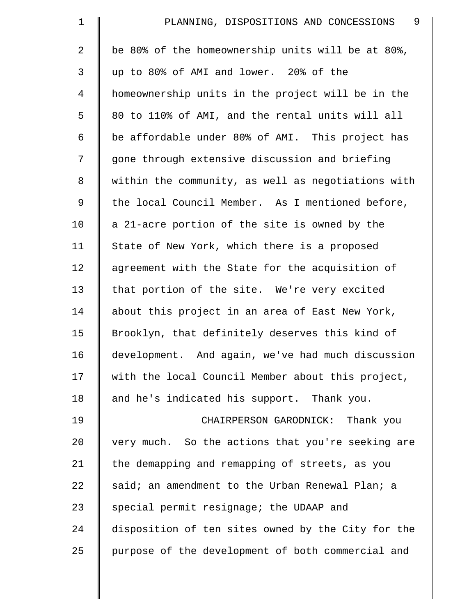| $\mathbf 1$    | 9<br>PLANNING, DISPOSITIONS AND CONCESSIONS        |
|----------------|----------------------------------------------------|
| $\overline{2}$ | be 80% of the homeownership units will be at 80%,  |
| 3              | up to 80% of AMI and lower. 20% of the             |
| $\overline{4}$ | homeownership units in the project will be in the  |
| 5              | 80 to 110% of AMI, and the rental units will all   |
| 6              | be affordable under 80% of AMI. This project has   |
| 7              | gone through extensive discussion and briefing     |
| 8              | within the community, as well as negotiations with |
| 9              | the local Council Member. As I mentioned before,   |
| 10             | a 21-acre portion of the site is owned by the      |
| 11             | State of New York, which there is a proposed       |
| 12             | agreement with the State for the acquisition of    |
| 13             | that portion of the site. We're very excited       |
| 14             | about this project in an area of East New York,    |
| 15             | Brooklyn, that definitely deserves this kind of    |
| 16             | development. And again, we've had much discussion  |
| 17             | with the local Council Member about this project,  |
| 18             | and he's indicated his support. Thank you.         |
| 19             | CHAIRPERSON GARODNICK: Thank you                   |
| 20             | very much. So the actions that you're seeking are  |
| 21             | the demapping and remapping of streets, as you     |
| 22             | said; an amendment to the Urban Renewal Plan; a    |
| 23             | special permit resignage; the UDAAP and            |
| 24             | disposition of ten sites owned by the City for the |
| 25             | purpose of the development of both commercial and  |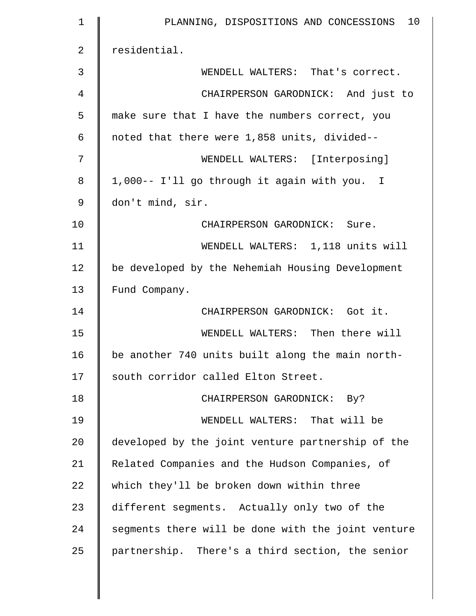| $\mathbf 1$ | PLANNING, DISPOSITIONS AND CONCESSIONS 10          |
|-------------|----------------------------------------------------|
| 2           | residential.                                       |
| 3           | WENDELL WALTERS: That's correct.                   |
| 4           | CHAIRPERSON GARODNICK: And just to                 |
| 5           | make sure that I have the numbers correct, you     |
| 6           | noted that there were 1,858 units, divided--       |
| 7           | WENDELL WALTERS: [Interposing]                     |
| 8           | 1,000 -- I'll go through it again with you. I      |
| 9           | don't mind, sir.                                   |
| 10          | CHAIRPERSON GARODNICK: Sure.                       |
| 11          | WENDELL WALTERS: 1,118 units will                  |
| 12          | be developed by the Nehemiah Housing Development   |
| 13          | Fund Company.                                      |
| 14          | CHAIRPERSON GARODNICK: Got it.                     |
| 15          | WENDELL WALTERS: Then there will                   |
| 16          | be another 740 units built along the main north-   |
| 17          | south corridor called Elton Street.                |
| 18          | CHAIRPERSON GARODNICK: By?                         |
| 19          | WENDELL WALTERS: That will be                      |
| 20          | developed by the joint venture partnership of the  |
| 21          | Related Companies and the Hudson Companies, of     |
| 22          | which they'll be broken down within three          |
| 23          | different segments. Actually only two of the       |
| 24          | segments there will be done with the joint venture |
| 25          | partnership. There's a third section, the senior   |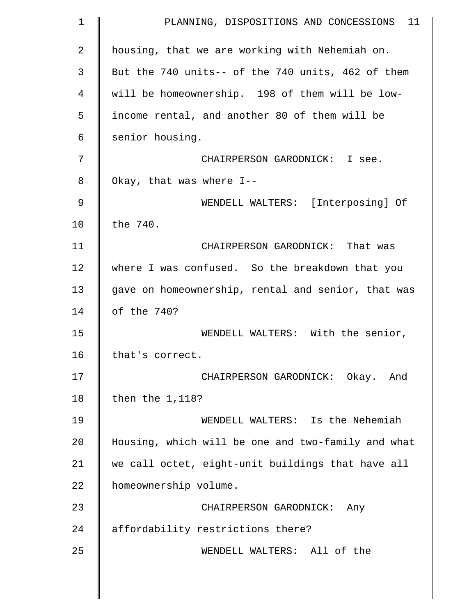| $\mathbf 1$ | PLANNING, DISPOSITIONS AND CONCESSIONS 11          |
|-------------|----------------------------------------------------|
| 2           | housing, that we are working with Nehemiah on.     |
| 3           | But the 740 units-- of the 740 units, 462 of them  |
| 4           | will be homeownership. 198 of them will be low-    |
| 5           | income rental, and another 80 of them will be      |
| 6           | senior housing.                                    |
| 7           | CHAIRPERSON GARODNICK: I see.                      |
| 8           | Okay, that was where I--                           |
| 9           | WENDELL WALTERS: [Interposing] Of                  |
| 10          | the 740.                                           |
| 11          | CHAIRPERSON GARODNICK: That was                    |
| 12          | where I was confused. So the breakdown that you    |
| 13          | gave on homeownership, rental and senior, that was |
| 14          | of the 740?                                        |
| 15          | WENDELL WALTERS: With the senior,                  |
| 16          | that's correct.                                    |
| 17          | CHAIRPERSON GARODNICK: Okay. And                   |
| 18          | then the 1,118?                                    |
| 19          | WENDELL WALTERS: Is the Nehemiah                   |
| 20          | Housing, which will be one and two-family and what |
| 21          | we call octet, eight-unit buildings that have all  |
| 22          | homeownership volume.                              |
| 23          | CHAIRPERSON GARODNICK: Any                         |
| 24          | affordability restrictions there?                  |
| 25          | WENDELL WALTERS: All of the                        |
|             |                                                    |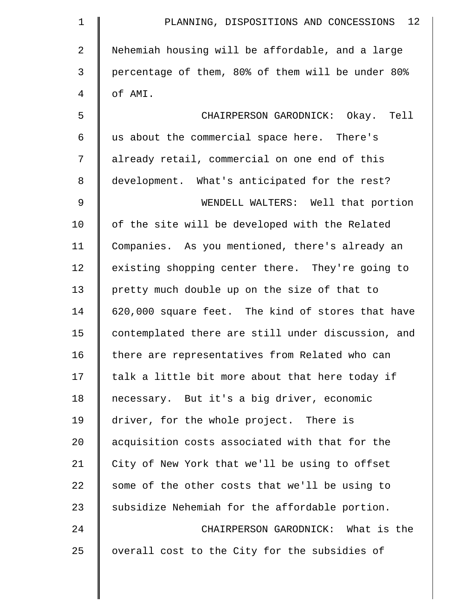| $\mathbf 1$   | PLANNING, DISPOSITIONS AND CONCESSIONS 12          |
|---------------|----------------------------------------------------|
| 2             | Nehemiah housing will be affordable, and a large   |
| 3             | percentage of them, 80% of them will be under 80%  |
| 4             | of AMI.                                            |
| 5             | CHAIRPERSON GARODNICK: Okay. Tell                  |
| 6             | us about the commercial space here. There's        |
| 7             | already retail, commercial on one end of this      |
| 8             | development. What's anticipated for the rest?      |
| $\mathcal{G}$ | WENDELL WALTERS: Well that portion                 |
| 10            | of the site will be developed with the Related     |
| 11            | Companies. As you mentioned, there's already an    |
| 12            | existing shopping center there. They're going to   |
| 13            | pretty much double up on the size of that to       |
| 14            | 620,000 square feet. The kind of stores that have  |
| 15            | contemplated there are still under discussion, and |
| 16            | there are representatives from Related who can     |
| 17            | talk a little bit more about that here today if    |
| 18            | necessary. But it's a big driver, economic         |
| 19            | driver, for the whole project. There is            |
| 20            | acquisition costs associated with that for the     |
| 21            | City of New York that we'll be using to offset     |
| 22            | some of the other costs that we'll be using to     |
| 23            | subsidize Nehemiah for the affordable portion.     |
| 24            | CHAIRPERSON GARODNICK: What is the                 |
| 25            | overall cost to the City for the subsidies of      |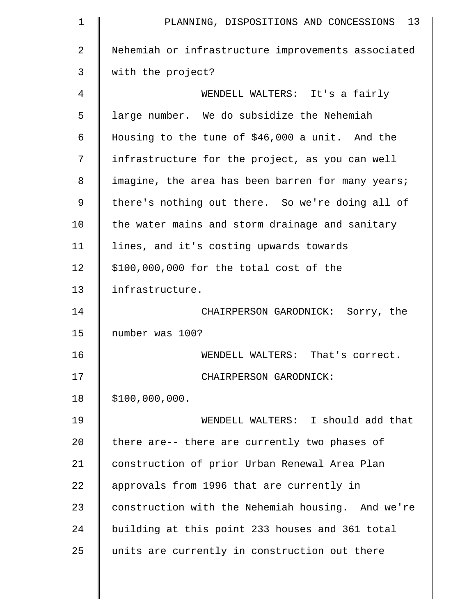| $\mathbf 1$    | PLANNING, DISPOSITIONS AND CONCESSIONS 13          |
|----------------|----------------------------------------------------|
| $\overline{a}$ | Nehemiah or infrastructure improvements associated |
| 3              | with the project?                                  |
| 4              | WENDELL WALTERS: It's a fairly                     |
| 5              | large number. We do subsidize the Nehemiah         |
| 6              | Housing to the tune of \$46,000 a unit. And the    |
| 7              | infrastructure for the project, as you can well    |
| 8              | imagine, the area has been barren for many years;  |
| 9              | there's nothing out there. So we're doing all of   |
| 10             | the water mains and storm drainage and sanitary    |
| 11             | lines, and it's costing upwards towards            |
| 12             | \$100,000,000 for the total cost of the            |
| 13             | infrastructure.                                    |
| 14             | CHAIRPERSON GARODNICK: Sorry, the                  |
| 15             | number was 100?                                    |
| 16             | WENDELL WALTERS: That's correct.                   |
| 17             | CHAIRPERSON GARODNICK:                             |
| 18             | \$100,000,000.                                     |
| 19             | WENDELL WALTERS: I should add that                 |
| 20             | there are-- there are currently two phases of      |
| 21             | construction of prior Urban Renewal Area Plan      |
| 22             | approvals from 1996 that are currently in          |
| 23             | construction with the Nehemiah housing. And we're  |
| 24             | building at this point 233 houses and 361 total    |
| 25             | units are currently in construction out there      |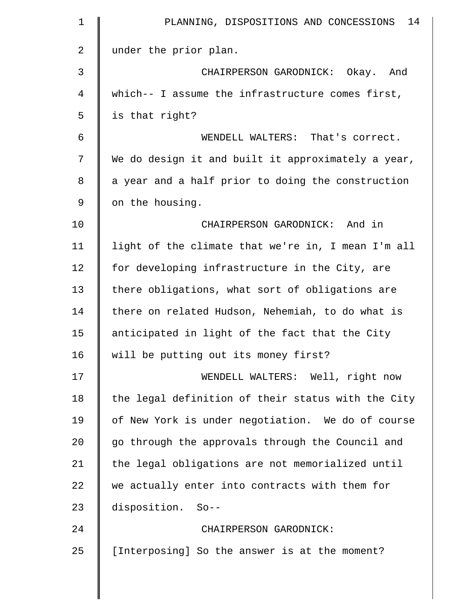| 1  | 14<br>PLANNING, DISPOSITIONS AND CONCESSIONS       |
|----|----------------------------------------------------|
| 2  | under the prior plan.                              |
| 3  | CHAIRPERSON GARODNICK: Okay. And                   |
| 4  | which-- I assume the infrastructure comes first,   |
| 5  | is that right?                                     |
| 6  | WENDELL WALTERS: That's correct.                   |
| 7  | We do design it and built it approximately a year, |
| 8  | a year and a half prior to doing the construction  |
| 9  | on the housing.                                    |
| 10 | CHAIRPERSON GARODNICK: And in                      |
| 11 | light of the climate that we're in, I mean I'm all |
| 12 | for developing infrastructure in the City, are     |
| 13 | there obligations, what sort of obligations are    |
| 14 | there on related Hudson, Nehemiah, to do what is   |
| 15 | anticipated in light of the fact that the City     |
| 16 | will be putting out its money first?               |
| 17 | WENDELL WALTERS: Well, right now                   |
| 18 | the legal definition of their status with the City |
| 19 | of New York is under negotiation. We do of course  |
| 20 | go through the approvals through the Council and   |
| 21 | the legal obligations are not memorialized until   |
| 22 | we actually enter into contracts with them for     |
| 23 | disposition. So--                                  |
| 24 | CHAIRPERSON GARODNICK:                             |
| 25 | [Interposing] So the answer is at the moment?      |
|    |                                                    |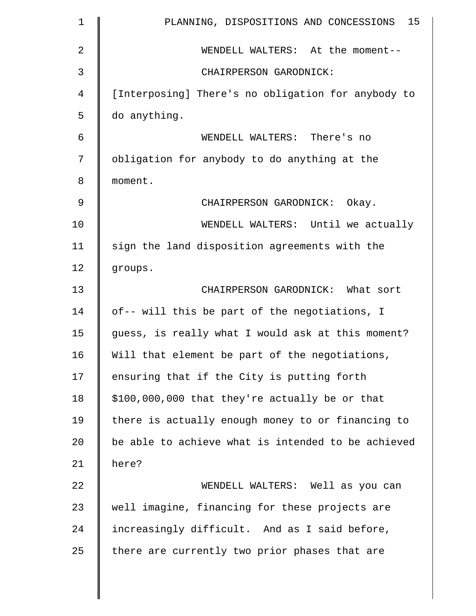| $\mathbf 1$    | PLANNING, DISPOSITIONS AND CONCESSIONS 15          |
|----------------|----------------------------------------------------|
| $\overline{2}$ | WENDELL WALTERS: At the moment--                   |
| 3              | CHAIRPERSON GARODNICK:                             |
| $\overline{4}$ | [Interposing] There's no obligation for anybody to |
| 5              | do anything.                                       |
| 6              | WENDELL WALTERS: There's no                        |
| 7              | obligation for anybody to do anything at the       |
| 8              | moment.                                            |
| 9              | CHAIRPERSON GARODNICK: Okay.                       |
| 10             | WENDELL WALTERS: Until we actually                 |
| 11             | sign the land disposition agreements with the      |
| 12             | groups.                                            |
| 13             | CHAIRPERSON GARODNICK: What sort                   |
| 14             | of-- will this be part of the negotiations, I      |
| 15             | guess, is really what I would ask at this moment?  |
| 16             | Will that element be part of the negotiations,     |
| 17             | ensuring that if the City is putting forth         |
| 18             | \$100,000,000 that they're actually be or that     |
| 19             | there is actually enough money to or financing to  |
| 20             | be able to achieve what is intended to be achieved |
| 21             | here?                                              |
| 22             | WENDELL WALTERS: Well as you can                   |
| 23             | well imagine, financing for these projects are     |
| 24             | increasingly difficult. And as I said before,      |
| 25             | there are currently two prior phases that are      |
|                |                                                    |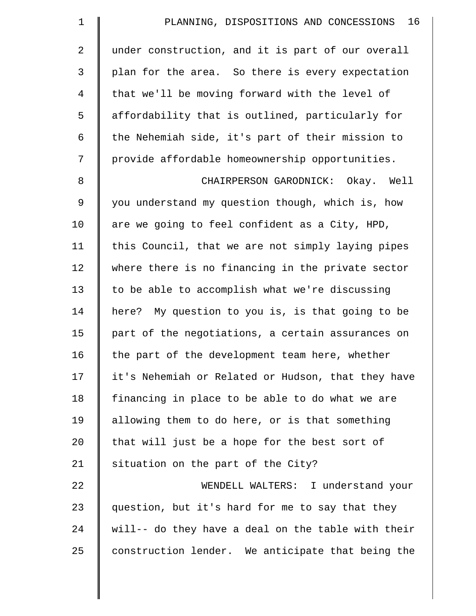| $\mathbf 1$    | 16<br>PLANNING, DISPOSITIONS AND CONCESSIONS       |
|----------------|----------------------------------------------------|
| 2              | under construction, and it is part of our overall  |
| $\mathfrak{Z}$ | plan for the area. So there is every expectation   |
| 4              | that we'll be moving forward with the level of     |
| 5              | affordability that is outlined, particularly for   |
| 6              | the Nehemiah side, it's part of their mission to   |
| 7              | provide affordable homeownership opportunities.    |
| $\,8\,$        | CHAIRPERSON GARODNICK: Okay. Well                  |
| $\mathsf 9$    | you understand my question though, which is, how   |
| 10             | are we going to feel confident as a City, HPD,     |
| 11             | this Council, that we are not simply laying pipes  |
| 12             | where there is no financing in the private sector  |
| 13             | to be able to accomplish what we're discussing     |
| 14             | here? My question to you is, is that going to be   |
| 15             | part of the negotiations, a certain assurances on  |
| 16             | the part of the development team here, whether     |
| 17             | it's Nehemiah or Related or Hudson, that they have |
| 18             | financing in place to be able to do what we are    |
| 19             | allowing them to do here, or is that something     |
| 20             | that will just be a hope for the best sort of      |
| 21             | situation on the part of the City?                 |
| 22             | WENDELL WALTERS: I understand your                 |
| 23             | question, but it's hard for me to say that they    |
| 24             | will-- do they have a deal on the table with their |
| 25             | construction lender. We anticipate that being the  |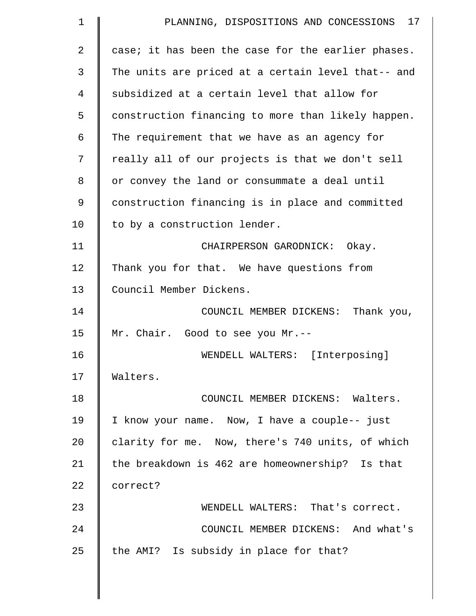| $\mathbf 1$ | PLANNING, DISPOSITIONS AND CONCESSIONS 17          |
|-------------|----------------------------------------------------|
| 2           | case; it has been the case for the earlier phases. |
| 3           | The units are priced at a certain level that-- and |
| 4           | subsidized at a certain level that allow for       |
| 5           | construction financing to more than likely happen. |
| 6           | The requirement that we have as an agency for      |
| 7           | really all of our projects is that we don't sell   |
| 8           | or convey the land or consummate a deal until      |
| 9           | construction financing is in place and committed   |
| 10          | to by a construction lender.                       |
| 11          | CHAIRPERSON GARODNICK: Okay.                       |
| 12          | Thank you for that. We have questions from         |
| 13          | Council Member Dickens.                            |
| 14          | COUNCIL MEMBER DICKENS: Thank you,                 |
| 15          | Mr. Chair. Good to see you Mr.--                   |
| 16          | WENDELL WALTERS: [Interposing]                     |
| 17          | Walters.                                           |
| 18          | COUNCIL MEMBER DICKENS: Walters.                   |
| 19          | I know your name. Now, I have a couple-- just      |
| 20          | clarity for me. Now, there's 740 units, of which   |
| 21          | the breakdown is 462 are homeownership? Is that    |
| 22          | correct?                                           |
| 23          | WENDELL WALTERS: That's correct.                   |
| 24          | COUNCIL MEMBER DICKENS: And what's                 |
| 25          | the AMI? Is subsidy in place for that?             |
|             |                                                    |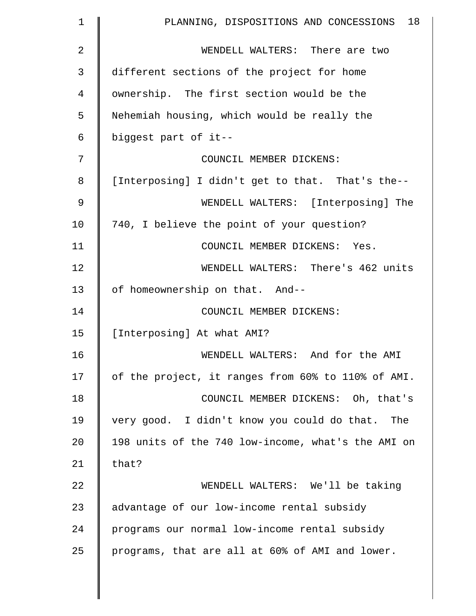| $\mathbf 1$ | 18<br>PLANNING, DISPOSITIONS AND CONCESSIONS       |
|-------------|----------------------------------------------------|
| 2           | WENDELL WALTERS: There are two                     |
| 3           | different sections of the project for home         |
| 4           | ownership. The first section would be the          |
| 5           | Nehemiah housing, which would be really the        |
| 6           | biggest part of it--                               |
| 7           | COUNCIL MEMBER DICKENS:                            |
| 8           | [Interposing] I didn't get to that. That's the--   |
| 9           | WENDELL WALTERS: [Interposing] The                 |
| 10          | 740, I believe the point of your question?         |
| 11          | COUNCIL MEMBER DICKENS: Yes.                       |
| 12          | WENDELL WALTERS: There's 462 units                 |
| 13          | of homeownership on that. And--                    |
| 14          | COUNCIL MEMBER DICKENS:                            |
| 15          | [Interposing] At what AMI?                         |
| 16          | WENDELL WALTERS: And for the AMI                   |
| 17          | of the project, it ranges from 60% to 110% of AMI. |
| 18          | COUNCIL MEMBER DICKENS: Oh, that's                 |
| 19          | very good. I didn't know you could do that. The    |
| 20          | 198 units of the 740 low-income, what's the AMI on |
| 21          | that?                                              |
| 22          | WENDELL WALTERS: We'll be taking                   |
| 23          | advantage of our low-income rental subsidy         |
| 24          | programs our normal low-income rental subsidy      |
| 25          | programs, that are all at 60% of AMI and lower.    |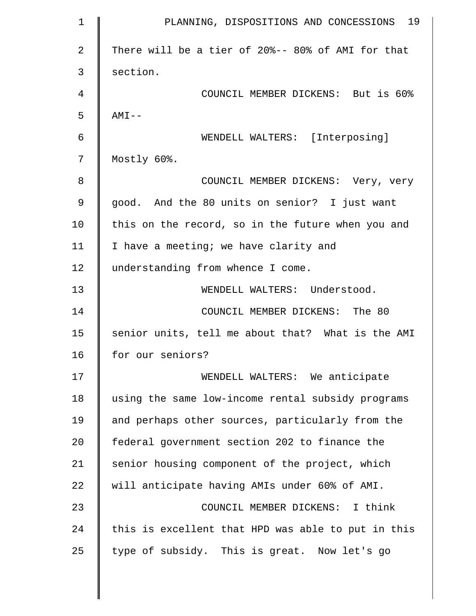| $\mathbf 1$    | PLANNING, DISPOSITIONS AND CONCESSIONS 19          |
|----------------|----------------------------------------------------|
| $\overline{2}$ | There will be a tier of 20%-- 80% of AMI for that  |
| 3              | section.                                           |
| 4              | COUNCIL MEMBER DICKENS: But is 60%                 |
| 5              | $AMI - -$                                          |
| 6              | WENDELL WALTERS: [Interposing]                     |
| 7              | Mostly 60%.                                        |
| 8              | COUNCIL MEMBER DICKENS: Very, very                 |
| 9              | good. And the 80 units on senior? I just want      |
| 10             | this on the record, so in the future when you and  |
| 11             | I have a meeting; we have clarity and              |
| 12             | understanding from whence I come.                  |
| 13             | WENDELL WALTERS: Understood.                       |
| 14             | COUNCIL MEMBER DICKENS: The 80                     |
| 15             | senior units, tell me about that? What is the AMI  |
| 16             | for our seniors?                                   |
| 17             | WENDELL WALTERS: We anticipate                     |
| 18             | using the same low-income rental subsidy programs  |
| 19             | and perhaps other sources, particularly from the   |
| 20             | federal government section 202 to finance the      |
| 21             | senior housing component of the project, which     |
| 22             | will anticipate having AMIs under 60% of AMI.      |
| 23             | COUNCIL MEMBER DICKENS: I think                    |
| 24             | this is excellent that HPD was able to put in this |
| 25             | type of subsidy. This is great. Now let's go       |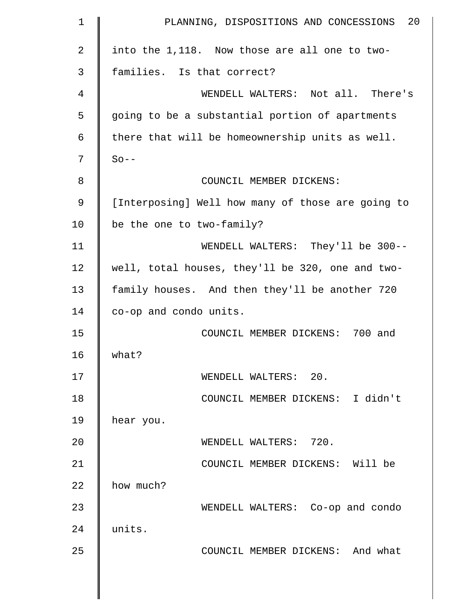| $\mathbf 1$    | 20<br>PLANNING, DISPOSITIONS AND CONCESSIONS      |
|----------------|---------------------------------------------------|
| $\overline{a}$ | into the 1,118. Now those are all one to two-     |
| 3              | families. Is that correct?                        |
| 4              | WENDELL WALTERS: Not all. There's                 |
| 5              | going to be a substantial portion of apartments   |
| 6              | there that will be homeownership units as well.   |
| 7              | $So --$                                           |
| 8              | COUNCIL MEMBER DICKENS:                           |
| 9              | [Interposing] Well how many of those are going to |
| 10             | be the one to two-family?                         |
| 11             | WENDELL WALTERS: They'll be 300--                 |
| 12             | well, total houses, they'll be 320, one and two-  |
| 13             | family houses. And then they'll be another 720    |
| 14             | co-op and condo units.                            |
| 15             | COUNCIL MEMBER DICKENS: 700 and                   |
| 16             | what?                                             |
| 17             | WENDELL WALTERS: 20.                              |
| 18             | COUNCIL MEMBER DICKENS: I didn't                  |
| 19             | hear you.                                         |
| 20             | WENDELL WALTERS: 720.                             |
| 21             | COUNCIL MEMBER DICKENS: Will be                   |
| 22             | how much?                                         |
| 23             | WENDELL WALTERS: Co-op and condo                  |
| 24             | units.                                            |
| 25             | COUNCIL MEMBER DICKENS: And what                  |
|                |                                                   |
|                |                                                   |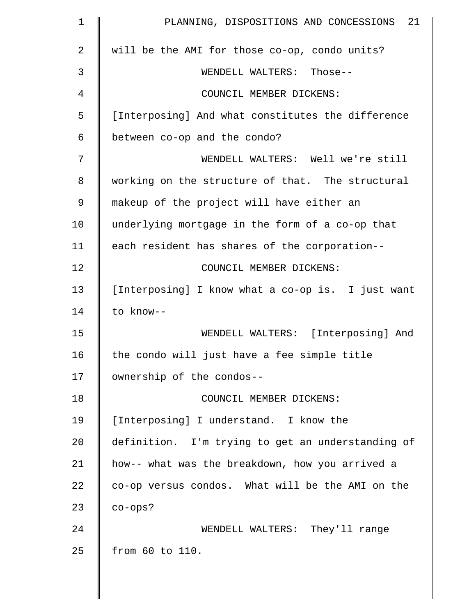| $\mathbf 1$    | 21<br>PLANNING, DISPOSITIONS AND CONCESSIONS      |
|----------------|---------------------------------------------------|
| $\overline{a}$ | will be the AMI for those co-op, condo units?     |
| 3              | WENDELL WALTERS: Those--                          |
| 4              | COUNCIL MEMBER DICKENS:                           |
| 5              | [Interposing] And what constitutes the difference |
| 6              | between co-op and the condo?                      |
| 7              | WENDELL WALTERS: Well we're still                 |
| 8              | working on the structure of that. The structural  |
| 9              | makeup of the project will have either an         |
| 10             | underlying mortgage in the form of a co-op that   |
| 11             | each resident has shares of the corporation--     |
| 12             | COUNCIL MEMBER DICKENS:                           |
| 13             | [Interposing] I know what a co-op is. I just want |
| 14             | to know--                                         |
| 15             | WENDELL WALTERS: [Interposing] And                |
| 16             | the condo will just have a fee simple title       |
| 17             | ownership of the condos--                         |
| 18             | COUNCIL MEMBER DICKENS:                           |
| 19             | [Interposing] I understand. I know the            |
| 20             | definition. I'm trying to get an understanding of |
| 21             | how-- what was the breakdown, how you arrived a   |
| 22             | co-op versus condos. What will be the AMI on the  |
| 23             | $co-ops?$                                         |
| 24             | WENDELL WALTERS: They'll range                    |
| 25             | from 60 to 110.                                   |
|                |                                                   |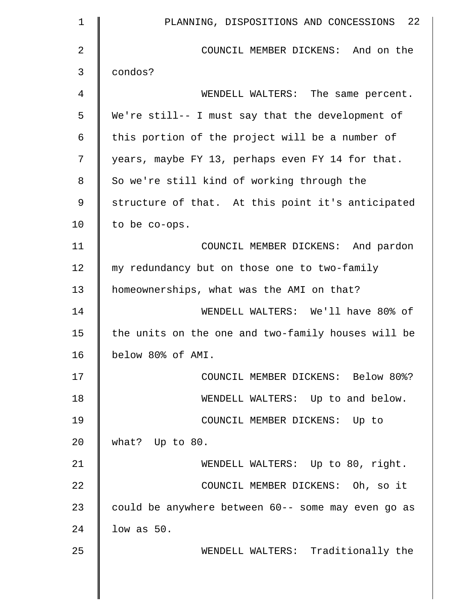| 1              | PLANNING, DISPOSITIONS AND CONCESSIONS 22          |
|----------------|----------------------------------------------------|
| $\overline{2}$ | COUNCIL MEMBER DICKENS: And on the                 |
| 3              | condos?                                            |
| 4              | WENDELL WALTERS: The same percent.                 |
| 5              | We're still-- I must say that the development of   |
| 6              | this portion of the project will be a number of    |
| 7              | years, maybe FY 13, perhaps even FY 14 for that.   |
| 8              | So we're still kind of working through the         |
| $\mathsf 9$    | structure of that. At this point it's anticipated  |
| 10             | to be co-ops.                                      |
| 11             | COUNCIL MEMBER DICKENS: And pardon                 |
| 12             | my redundancy but on those one to two-family       |
| 13             | homeownerships, what was the AMI on that?          |
| 14             | WENDELL WALTERS: We'll have 80% of                 |
| 15             | the units on the one and two-family houses will be |
| 16             | below 80% of AMI.                                  |
| 17             | COUNCIL MEMBER DICKENS: Below 80%?                 |
| 18             | WENDELL WALTERS: Up to and below.                  |
| 19             | COUNCIL MEMBER DICKENS: Up to                      |
| 20             | what? Up to 80.                                    |
| 21             | WENDELL WALTERS: Up to 80, right.                  |
| 22             | COUNCIL MEMBER DICKENS: Oh, so it                  |
| 23             | could be anywhere between 60-- some may even go as |
| 24             | $low$ as $50$ .                                    |
| 25             | WENDELL WALTERS: Traditionally the                 |
|                |                                                    |
|                |                                                    |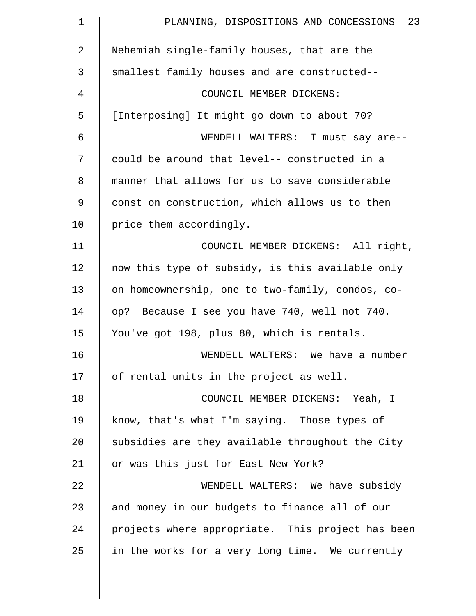| $\mathbf 1$ | 23<br>PLANNING, DISPOSITIONS AND CONCESSIONS      |
|-------------|---------------------------------------------------|
| 2           | Nehemiah single-family houses, that are the       |
| 3           | smallest family houses and are constructed--      |
| 4           | COUNCIL MEMBER DICKENS:                           |
| 5           | [Interposing] It might go down to about 70?       |
| 6           | WENDELL WALTERS: I must say are--                 |
| 7           | could be around that level-- constructed in a     |
| 8           | manner that allows for us to save considerable    |
| 9           | const on construction, which allows us to then    |
| 10          | price them accordingly.                           |
| 11          | COUNCIL MEMBER DICKENS: All right,                |
| 12          | now this type of subsidy, is this available only  |
| 13          | on homeownership, one to two-family, condos, co-  |
| 14          | op? Because I see you have 740, well not 740.     |
| 15          | You've got 198, plus 80, which is rentals.        |
| 16          | WENDELL WALTERS: We have a number                 |
| 17          | of rental units in the project as well.           |
| 18          | COUNCIL MEMBER DICKENS: Yeah, I                   |
| 19          | know, that's what I'm saying. Those types of      |
| 20          | subsidies are they available throughout the City  |
| 21          | or was this just for East New York?               |
| 22          | WENDELL WALTERS: We have subsidy                  |
| 23          | and money in our budgets to finance all of our    |
| 24          | projects where appropriate. This project has been |
| 25          | in the works for a very long time. We currently   |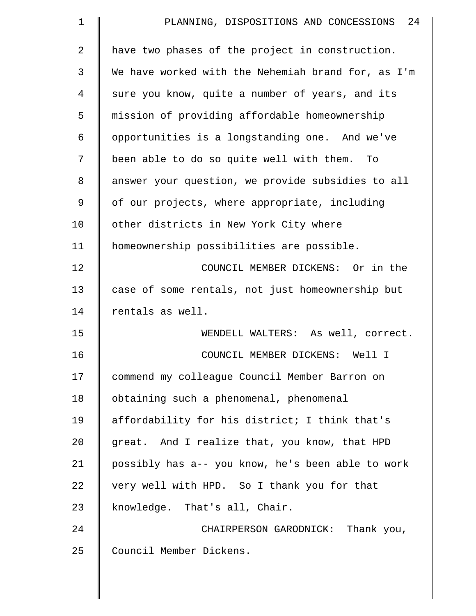| $\mathbf 1$    | PLANNING, DISPOSITIONS AND CONCESSIONS 24          |
|----------------|----------------------------------------------------|
| $\overline{a}$ | have two phases of the project in construction.    |
| 3              | We have worked with the Nehemiah brand for, as I'm |
| 4              | sure you know, quite a number of years, and its    |
| 5              | mission of providing affordable homeownership      |
| 6              | opportunities is a longstanding one. And we've     |
| 7              | been able to do so quite well with them. To        |
| 8              | answer your question, we provide subsidies to all  |
| 9              | of our projects, where appropriate, including      |
| 10             | other districts in New York City where             |
| 11             | homeownership possibilities are possible.          |
| 12             | COUNCIL MEMBER DICKENS: Or in the                  |
| 13             | case of some rentals, not just homeownership but   |
| 14             | rentals as well.                                   |
| 15             | WENDELL WALTERS: As well, correct.                 |
| 16             | COUNCIL MEMBER DICKENS: Well I                     |
| 17             | commend my colleague Council Member Barron on      |
| 18             | obtaining such a phenomenal, phenomenal            |
| 19             | affordability for his district; I think that's     |
| 20             | great. And I realize that, you know, that HPD      |
| 21             | possibly has a-- you know, he's been able to work  |
| 22             | very well with HPD. So I thank you for that        |
| 23             | knowledge. That's all, Chair.                      |
| 24             | CHAIRPERSON GARODNICK: Thank you,                  |
| 25             | Council Member Dickens.                            |
|                |                                                    |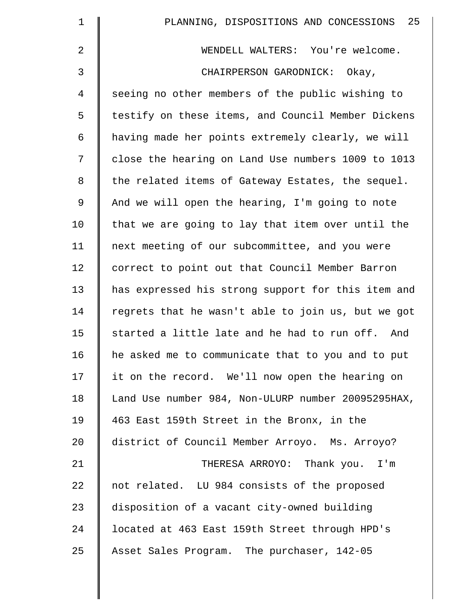| $\mathbf 1$    | PLANNING, DISPOSITIONS AND CONCESSIONS 25          |
|----------------|----------------------------------------------------|
| 2              | WENDELL WALTERS: You're welcome.                   |
| 3              | CHAIRPERSON GARODNICK: Okay,                       |
| $\overline{4}$ | seeing no other members of the public wishing to   |
| 5              | testify on these items, and Council Member Dickens |
| 6              | having made her points extremely clearly, we will  |
| 7              | close the hearing on Land Use numbers 1009 to 1013 |
| 8              | the related items of Gateway Estates, the sequel.  |
| $\mathsf 9$    | And we will open the hearing, I'm going to note    |
| 10             | that we are going to lay that item over until the  |
| 11             | next meeting of our subcommittee, and you were     |
| 12             | correct to point out that Council Member Barron    |
| 13             | has expressed his strong support for this item and |
| 14             | regrets that he wasn't able to join us, but we got |
| 15             | started a little late and he had to run off. And   |
| 16             | he asked me to communicate that to you and to put  |
| 17             | it on the record. We'll now open the hearing on    |
| 18             | Land Use number 984, Non-ULURP number 20095295HAX, |
| 19             | 463 East 159th Street in the Bronx, in the         |
| 20             | district of Council Member Arroyo. Ms. Arroyo?     |
| 21             | THERESA ARROYO: Thank you. I'm                     |
| 22             | not related. LU 984 consists of the proposed       |
| 23             | disposition of a vacant city-owned building        |
| 24             | located at 463 East 159th Street through HPD's     |
| 25             | Asset Sales Program. The purchaser, 142-05         |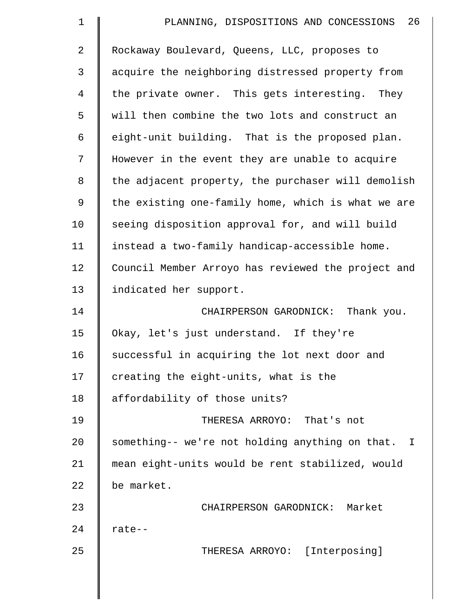| $\mathbf 1$ | 26<br>PLANNING, DISPOSITIONS AND CONCESSIONS       |
|-------------|----------------------------------------------------|
| 2           | Rockaway Boulevard, Queens, LLC, proposes to       |
| 3           | acquire the neighboring distressed property from   |
| 4           | the private owner. This gets interesting. They     |
| 5           | will then combine the two lots and construct an    |
| 6           | eight-unit building. That is the proposed plan.    |
| 7           | However in the event they are unable to acquire    |
| 8           | the adjacent property, the purchaser will demolish |
| 9           | the existing one-family home, which is what we are |
| 10          | seeing disposition approval for, and will build    |
| 11          | instead a two-family handicap-accessible home.     |
| 12          | Council Member Arroyo has reviewed the project and |
| 13          | indicated her support.                             |
| 14          | CHAIRPERSON GARODNICK: Thank you.                  |
| 15          | Okay, let's just understand. If they're            |
| 16          | successful in acquiring the lot next door and      |
| 17          | creating the eight-units, what is the              |
| 18          | affordability of those units?                      |
| 19          | THERESA ARROYO: That's not                         |
| 20          | something-- we're not holding anything on that. I  |
| 21          | mean eight-units would be rent stabilized, would   |
| 22          | be market.                                         |
| 23          | CHAIRPERSON GARODNICK: Market                      |
| 24          | rate--                                             |
| 25          | THERESA ARROYO: [Interposing]                      |
|             |                                                    |
|             |                                                    |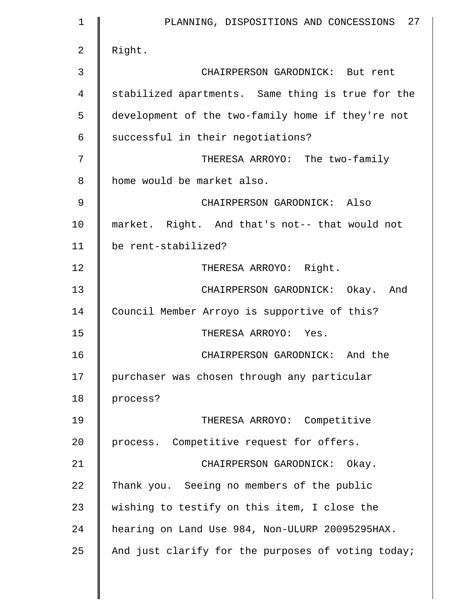| 1  | PLANNING, DISPOSITIONS AND CONCESSIONS 27          |
|----|----------------------------------------------------|
| 2  | Right.                                             |
| 3  | CHAIRPERSON GARODNICK: But rent                    |
| 4  | stabilized apartments. Same thing is true for the  |
| 5  | development of the two-family home if they're not  |
| 6  | successful in their negotiations?                  |
| 7  | THERESA ARROYO: The two-family                     |
| 8  | home would be market also.                         |
| 9  | CHAIRPERSON GARODNICK: Also                        |
| 10 | market. Right. And that's not-- that would not     |
| 11 | be rent-stabilized?                                |
| 12 | THERESA ARROYO: Right.                             |
| 13 | CHAIRPERSON GARODNICK: Okay. And                   |
| 14 | Council Member Arroyo is supportive of this?       |
| 15 | THERESA ARROYO: Yes.                               |
| 16 | CHAIRPERSON GARODNICK: And the                     |
| 17 | purchaser was chosen through any particular        |
| 18 | process?                                           |
| 19 | THERESA ARROYO: Competitive                        |
| 20 | process. Competitive request for offers.           |
| 21 | CHAIRPERSON GARODNICK: Okay.                       |
| 22 | Thank you. Seeing no members of the public         |
| 23 | wishing to testify on this item, I close the       |
| 24 | hearing on Land Use 984, Non-ULURP 20095295HAX.    |
| 25 | And just clarify for the purposes of voting today; |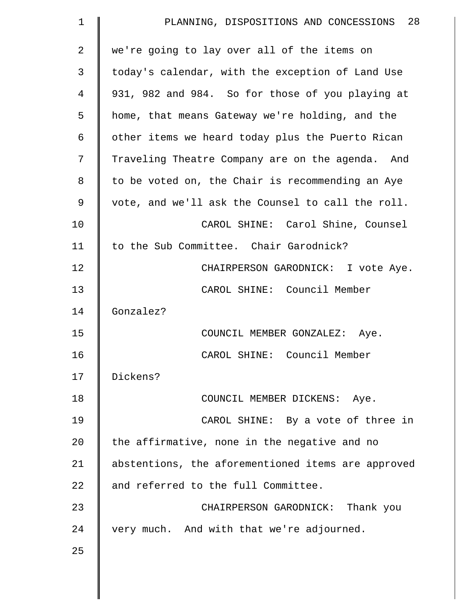| $\mathbf 1$    | PLANNING, DISPOSITIONS AND CONCESSIONS 28          |
|----------------|----------------------------------------------------|
| $\overline{a}$ | we're going to lay over all of the items on        |
| 3              | today's calendar, with the exception of Land Use   |
| 4              | 931, 982 and 984. So for those of you playing at   |
| 5              | home, that means Gateway we're holding, and the    |
| 6              | other items we heard today plus the Puerto Rican   |
| 7              | Traveling Theatre Company are on the agenda. And   |
| 8              | to be voted on, the Chair is recommending an Aye   |
| 9              | vote, and we'll ask the Counsel to call the roll.  |
| 10             | CAROL SHINE: Carol Shine, Counsel                  |
| 11             | to the Sub Committee. Chair Garodnick?             |
| 12             | CHAIRPERSON GARODNICK: I vote Aye.                 |
| 13             | CAROL SHINE: Council Member                        |
| 14             | Gonzalez?                                          |
| 15             | COUNCIL MEMBER GONZALEZ: Aye.                      |
| 16             | CAROL SHINE: Council Member                        |
| 17             | Dickens?                                           |
| 18             | COUNCIL MEMBER DICKENS: Aye.                       |
| 19             | CAROL SHINE: By a vote of three in                 |
| 20             | the affirmative, none in the negative and no       |
| 21             | abstentions, the aforementioned items are approved |
| 22             | and referred to the full Committee.                |
| 23             | CHAIRPERSON GARODNICK: Thank you                   |
| 24             | very much. And with that we're adjourned.          |
| 25             |                                                    |
|                |                                                    |